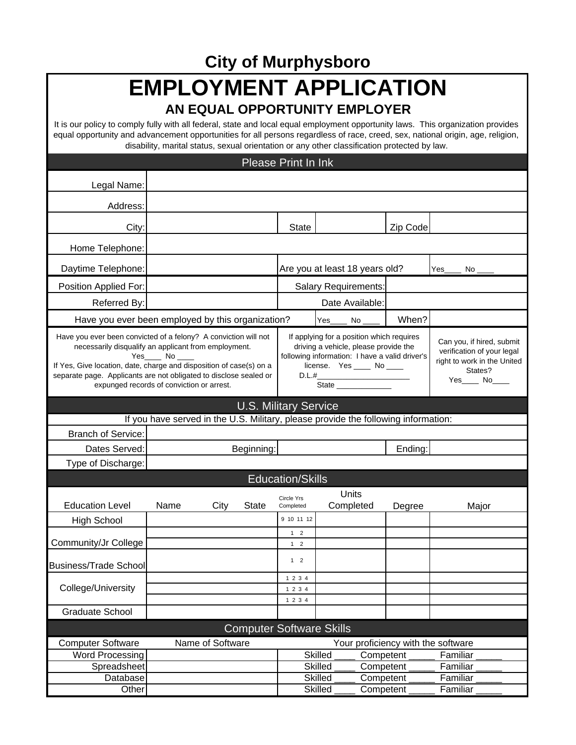**City of Murphysboro**

## **EMPLOYMENT APPLICATION**

## **AN EQUAL OPPORTUNITY EMPLOYER**

It is our policy to comply fully with all federal, state and local equal employment opportunity laws. This organization provides equal opportunity and advancement opportunities for all persons regardless of race, creed, sex, national origin, age, religion, disability, marital status, sexual orientation or any other classification protected by law.

|                                                                                                                                                                                                                                                                                                                                 |                                                                        |                  |                                                                                                                                                                             | <b>Please Print In Ink</b>     |                |                    |                                                                                                                      |                                    |  |
|---------------------------------------------------------------------------------------------------------------------------------------------------------------------------------------------------------------------------------------------------------------------------------------------------------------------------------|------------------------------------------------------------------------|------------------|-----------------------------------------------------------------------------------------------------------------------------------------------------------------------------|--------------------------------|----------------|--------------------|----------------------------------------------------------------------------------------------------------------------|------------------------------------|--|
| Legal Name:                                                                                                                                                                                                                                                                                                                     |                                                                        |                  |                                                                                                                                                                             |                                |                |                    |                                                                                                                      |                                    |  |
| Address:                                                                                                                                                                                                                                                                                                                        |                                                                        |                  |                                                                                                                                                                             |                                |                |                    |                                                                                                                      |                                    |  |
|                                                                                                                                                                                                                                                                                                                                 |                                                                        |                  |                                                                                                                                                                             |                                |                |                    |                                                                                                                      |                                    |  |
| City:                                                                                                                                                                                                                                                                                                                           |                                                                        |                  |                                                                                                                                                                             | <b>State</b>                   |                |                    | Zip Code                                                                                                             |                                    |  |
| Home Telephone:                                                                                                                                                                                                                                                                                                                 |                                                                        |                  |                                                                                                                                                                             |                                |                |                    |                                                                                                                      |                                    |  |
| Daytime Telephone:                                                                                                                                                                                                                                                                                                              |                                                                        |                  |                                                                                                                                                                             | Are you at least 18 years old? |                |                    |                                                                                                                      | Yes<br>No                          |  |
| Position Applied For:                                                                                                                                                                                                                                                                                                           | Salary Requirements:                                                   |                  |                                                                                                                                                                             |                                |                |                    |                                                                                                                      |                                    |  |
| Referred By:                                                                                                                                                                                                                                                                                                                    | Date Available:                                                        |                  |                                                                                                                                                                             |                                |                |                    |                                                                                                                      |                                    |  |
| Have you ever been employed by this organization?                                                                                                                                                                                                                                                                               |                                                                        |                  |                                                                                                                                                                             |                                | Yes            | No                 | When?                                                                                                                |                                    |  |
| Have you ever been convicted of a felony? A conviction will not<br>necessarily disqualify an applicant from employment.<br>Yes_____ No<br>If Yes, Give location, date, charge and disposition of case(s) on a<br>separate page. Applicants are not obligated to disclose sealed or<br>expunged records of conviction or arrest. |                                                                        |                  | If applying for a position which requires<br>driving a vehicle, please provide the<br>following information: I have a valid driver's<br>license. Yes _____ No ____<br>D.L.# |                                |                |                    | Can you, if hired, submit<br>verification of your legal<br>right to work in the United<br>States?<br>Yes_____ No____ |                                    |  |
| <b>U.S. Military Service</b>                                                                                                                                                                                                                                                                                                    |                                                                        |                  |                                                                                                                                                                             |                                |                |                    |                                                                                                                      |                                    |  |
| If you have served in the U.S. Military, please provide the following information:                                                                                                                                                                                                                                              |                                                                        |                  |                                                                                                                                                                             |                                |                |                    |                                                                                                                      |                                    |  |
| <b>Branch of Service:</b>                                                                                                                                                                                                                                                                                                       |                                                                        |                  |                                                                                                                                                                             |                                |                |                    |                                                                                                                      |                                    |  |
| Dates Served:                                                                                                                                                                                                                                                                                                                   | Beginning:                                                             |                  |                                                                                                                                                                             |                                | Ending:        |                    |                                                                                                                      |                                    |  |
| Type of Discharge:                                                                                                                                                                                                                                                                                                              |                                                                        |                  |                                                                                                                                                                             |                                |                |                    |                                                                                                                      |                                    |  |
|                                                                                                                                                                                                                                                                                                                                 |                                                                        |                  |                                                                                                                                                                             | <b>Education/Skills</b>        |                |                    |                                                                                                                      |                                    |  |
| <b>Education Level</b>                                                                                                                                                                                                                                                                                                          | Name                                                                   | City             | <b>State</b>                                                                                                                                                                | Circle Yrs<br>Completed        |                | Units<br>Completed | Degree                                                                                                               | Major                              |  |
| <b>High School</b>                                                                                                                                                                                                                                                                                                              |                                                                        |                  |                                                                                                                                                                             | 9 10 11 12                     |                |                    |                                                                                                                      |                                    |  |
| Community/Jr College                                                                                                                                                                                                                                                                                                            |                                                                        |                  |                                                                                                                                                                             | $1 \quad 2$<br>$1 \quad 2$     |                |                    |                                                                                                                      |                                    |  |
| <b>Business/Trade School</b>                                                                                                                                                                                                                                                                                                    |                                                                        |                  |                                                                                                                                                                             | $1 \quad 2$                    |                |                    |                                                                                                                      |                                    |  |
| College/University                                                                                                                                                                                                                                                                                                              |                                                                        |                  |                                                                                                                                                                             | 1 2 3 4<br>1 2 3 4<br>1 2 3 4  |                |                    |                                                                                                                      |                                    |  |
| <b>Graduate School</b>                                                                                                                                                                                                                                                                                                          |                                                                        |                  |                                                                                                                                                                             |                                |                |                    |                                                                                                                      |                                    |  |
| <b>Computer Software Skills</b>                                                                                                                                                                                                                                                                                                 |                                                                        |                  |                                                                                                                                                                             |                                |                |                    |                                                                                                                      |                                    |  |
| <b>Computer Software</b>                                                                                                                                                                                                                                                                                                        |                                                                        | Name of Software |                                                                                                                                                                             |                                |                |                    |                                                                                                                      | Your proficiency with the software |  |
| Word Processing                                                                                                                                                                                                                                                                                                                 | <b>Skilled</b><br>Familiar<br>Competent<br><b>Skilled</b><br>Competent |                  |                                                                                                                                                                             |                                |                |                    |                                                                                                                      |                                    |  |
| Spreadsheet<br>Database                                                                                                                                                                                                                                                                                                         |                                                                        |                  |                                                                                                                                                                             |                                | <b>Skilled</b> | Competent          |                                                                                                                      | Familiar<br>Familiar               |  |
| Other                                                                                                                                                                                                                                                                                                                           |                                                                        |                  |                                                                                                                                                                             |                                | Skilled        | Competent          |                                                                                                                      | Familiar                           |  |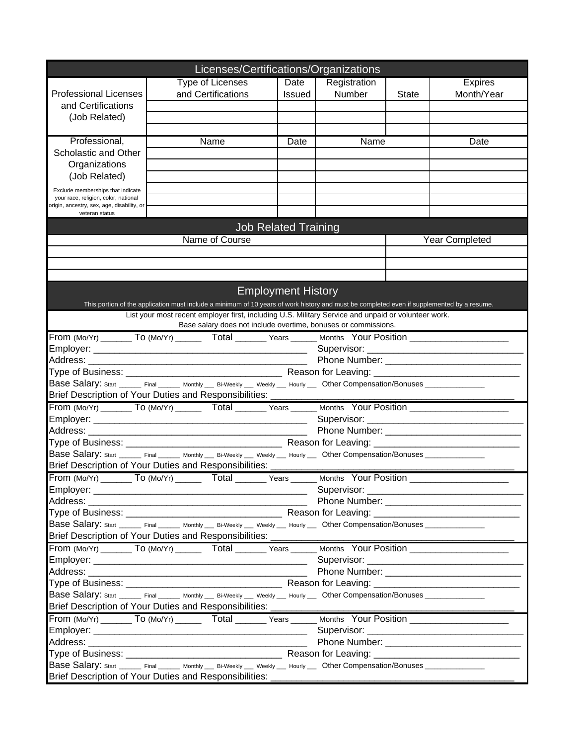|                                                                                                                | Licenses/Certifications/Organizations                                                                                                                                                              |                             |              |              |                |  |  |  |  |
|----------------------------------------------------------------------------------------------------------------|----------------------------------------------------------------------------------------------------------------------------------------------------------------------------------------------------|-----------------------------|--------------|--------------|----------------|--|--|--|--|
|                                                                                                                | Type of Licenses                                                                                                                                                                                   | Date                        | Registration |              | <b>Expires</b> |  |  |  |  |
| <b>Professional Licenses</b>                                                                                   | and Certifications                                                                                                                                                                                 | <b>Issued</b>               | Number       | <b>State</b> | Month/Year     |  |  |  |  |
| and Certifications                                                                                             |                                                                                                                                                                                                    |                             |              |              |                |  |  |  |  |
| (Job Related)                                                                                                  |                                                                                                                                                                                                    |                             |              |              |                |  |  |  |  |
|                                                                                                                |                                                                                                                                                                                                    |                             |              |              |                |  |  |  |  |
| Professional,                                                                                                  | Name                                                                                                                                                                                               | Date                        | Name         |              | Date           |  |  |  |  |
| Scholastic and Other                                                                                           |                                                                                                                                                                                                    |                             |              |              |                |  |  |  |  |
| Organizations                                                                                                  |                                                                                                                                                                                                    |                             |              |              |                |  |  |  |  |
| (Job Related)                                                                                                  |                                                                                                                                                                                                    |                             |              |              |                |  |  |  |  |
| Exclude memberships that indicate                                                                              |                                                                                                                                                                                                    |                             |              |              |                |  |  |  |  |
| your race, religion, color, national                                                                           |                                                                                                                                                                                                    |                             |              |              |                |  |  |  |  |
| origin, ancestry, sex, age, disability, or<br>veteran status                                                   |                                                                                                                                                                                                    |                             |              |              |                |  |  |  |  |
|                                                                                                                |                                                                                                                                                                                                    |                             |              |              |                |  |  |  |  |
|                                                                                                                |                                                                                                                                                                                                    | <b>Job Related Training</b> |              |              |                |  |  |  |  |
|                                                                                                                | Name of Course                                                                                                                                                                                     |                             |              |              | Year Completed |  |  |  |  |
|                                                                                                                |                                                                                                                                                                                                    |                             |              |              |                |  |  |  |  |
|                                                                                                                |                                                                                                                                                                                                    |                             |              |              |                |  |  |  |  |
|                                                                                                                |                                                                                                                                                                                                    |                             |              |              |                |  |  |  |  |
|                                                                                                                |                                                                                                                                                                                                    | <b>Employment History</b>   |              |              |                |  |  |  |  |
|                                                                                                                | This portion of the application must include a minimum of 10 years of work history and must be completed even if supplemented by a resume.                                                         |                             |              |              |                |  |  |  |  |
|                                                                                                                | List your most recent employer first, including U.S. Military Service and unpaid or volunteer work.                                                                                                |                             |              |              |                |  |  |  |  |
|                                                                                                                | Base salary does not include overtime, bonuses or commissions.                                                                                                                                     |                             |              |              |                |  |  |  |  |
|                                                                                                                |                                                                                                                                                                                                    |                             |              |              |                |  |  |  |  |
| From (Mo/Yr) ________ To (Mo/Yr) ________ Total _______ Years ______ Months Your Position ____________________ |                                                                                                                                                                                                    |                             |              |              |                |  |  |  |  |
|                                                                                                                |                                                                                                                                                                                                    |                             |              |              |                |  |  |  |  |
|                                                                                                                |                                                                                                                                                                                                    |                             |              |              |                |  |  |  |  |
|                                                                                                                | Base Salary: start ______ Final _______ Monthly ___ Bi-Weekly ___ Weekly ___ Hourly ___ Other Compensation/Bonuses ______________                                                                  |                             |              |              |                |  |  |  |  |
|                                                                                                                | Brief Description of Your Duties and Responsibilities: ________________                                                                                                                            |                             |              |              |                |  |  |  |  |
|                                                                                                                | From (Mo/Yr) ________ To (Mo/Yr) _______ Total _______ Years ______ Months Your Position _____________________                                                                                     |                             |              |              |                |  |  |  |  |
|                                                                                                                |                                                                                                                                                                                                    |                             |              |              |                |  |  |  |  |
|                                                                                                                |                                                                                                                                                                                                    |                             |              |              |                |  |  |  |  |
|                                                                                                                |                                                                                                                                                                                                    |                             |              |              |                |  |  |  |  |
|                                                                                                                |                                                                                                                                                                                                    |                             |              |              |                |  |  |  |  |
|                                                                                                                |                                                                                                                                                                                                    |                             |              |              |                |  |  |  |  |
|                                                                                                                | Base Salary: Start ______ Final ______ Monthly ___ Bi-Weekly ___ Weekly ___ Hourly ___ Other Compensation/Bonuses _______________                                                                  |                             |              |              |                |  |  |  |  |
|                                                                                                                | Brief Description of Your Duties and Responsibilities: ____                                                                                                                                        |                             |              |              |                |  |  |  |  |
|                                                                                                                | From (Mo/Yr) ________ To (Mo/Yr) ____________ Total ________ Years _______ Months Your Position ______________                                                                                     |                             |              |              |                |  |  |  |  |
|                                                                                                                |                                                                                                                                                                                                    |                             |              |              |                |  |  |  |  |
|                                                                                                                |                                                                                                                                                                                                    |                             |              |              |                |  |  |  |  |
|                                                                                                                |                                                                                                                                                                                                    |                             |              |              |                |  |  |  |  |
|                                                                                                                | Base Salary: start _______ Final _______ Monthly ___ Bi-Weekly ___ Weekly ___ Hourly ___ Other Compensation/Bonuses ______________                                                                 |                             |              |              |                |  |  |  |  |
|                                                                                                                | Brief Description of Your Duties and Responsibilities: _                                                                                                                                           |                             |              |              |                |  |  |  |  |
|                                                                                                                |                                                                                                                                                                                                    |                             |              |              |                |  |  |  |  |
|                                                                                                                |                                                                                                                                                                                                    |                             |              |              |                |  |  |  |  |
|                                                                                                                |                                                                                                                                                                                                    |                             |              |              |                |  |  |  |  |
|                                                                                                                |                                                                                                                                                                                                    |                             |              |              |                |  |  |  |  |
|                                                                                                                | Base Salary: Start _______ Final _______ Monthly ___ Bi-Weekly ____ Weekly ___ Other Compensation/Bonuses _____________                                                                            |                             |              |              |                |  |  |  |  |
|                                                                                                                |                                                                                                                                                                                                    |                             |              |              |                |  |  |  |  |
|                                                                                                                | Brief Description of Your Duties and Responsibilities: _________________________<br>From (Mo/Yr) ________ To (Mo/Yr) _______ Total _______ Years ______ Months Your Position _____________________ |                             |              |              |                |  |  |  |  |
|                                                                                                                |                                                                                                                                                                                                    |                             |              |              |                |  |  |  |  |
|                                                                                                                |                                                                                                                                                                                                    |                             |              |              |                |  |  |  |  |
|                                                                                                                |                                                                                                                                                                                                    |                             |              |              |                |  |  |  |  |
|                                                                                                                | Base Salary: start _______ Final _______ Monthly ___ Bi-Weekly ___ Weekly ___ Hourly ___ Other Compensation/Bonuses _____________                                                                  |                             |              |              |                |  |  |  |  |